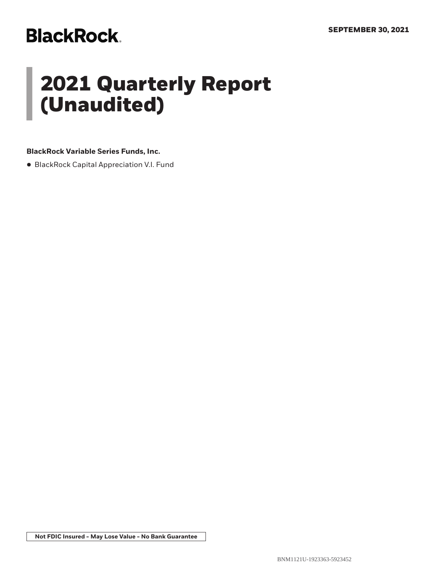# **BlackRock**

# **2021 Quarterly Report (Unaudited)**

### **BlackRock Variable Series Funds, Inc.**

• BlackRock Capital Appreciation V.I. Fund

**Not FDIC Insured - May Lose Value - No Bank Guarantee**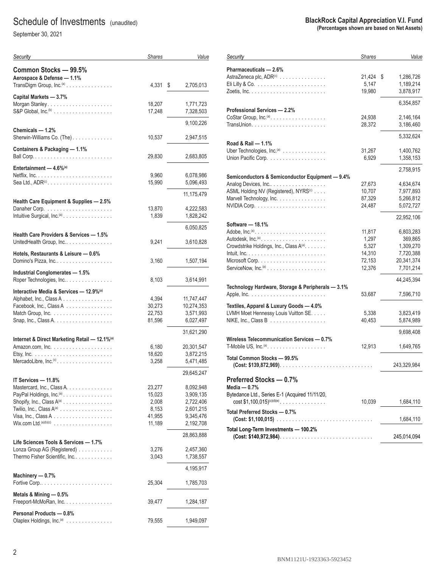# Schedule of Investments (unaudited)

September 30, 2021

| Security                                                           | Shares          | Value                  |
|--------------------------------------------------------------------|-----------------|------------------------|
| Common Stocks - 99.5%                                              |                 |                        |
| Aerospace & Defense - 1.1%<br>TransDigm Group, Inc. <sup>(a)</sup> | 4,331           | \$<br>2,705,013        |
| Capital Markets - 3.7%                                             | 18,207          | 1,771,723              |
| S&P Global, $Inc^{(b)}$                                            | 17,248          | 7,328,503              |
| Chemicals - 1.2%                                                   |                 | 9,100,226              |
| Sherwin-Williams Co. (The)                                         | 10,537          | 2,947,515              |
| Containers & Packaging - 1.1%                                      |                 |                        |
|                                                                    | 29,830          | 2,683,805              |
| Entertainment $-4.6\%$ <sup>(a)</sup>                              | 9,960           | 6,078,986              |
| Sea Ltd., $ADR^{(c)}$                                              | 15,990          | 5,096,493              |
|                                                                    |                 | 11,175,479             |
| Health Care Equipment & Supplies - 2.5%                            |                 |                        |
| Intuitive Surgical, Inc. <sup>(a)</sup>                            | 13,870<br>1,839 | 4,222,583<br>1,828,242 |
|                                                                    |                 | 6,050,825              |
| Health Care Providers & Services - 1.5%                            |                 |                        |
| UnitedHealth Group, Inc                                            | 9,241           | 3,610,828              |
| Hotels, Restaurants & Leisure - 0.6%                               | 3,160           | 1,507,194              |
| Industrial Conglomerates - 1.5%                                    |                 |                        |
| Roper Technologies, Inc                                            | 8,103           | 3,614,991              |
| Interactive Media & Services - 12.9%(a)                            |                 |                        |
| Alphabet, Inc., Class A                                            | 4,394           | 11,747,447             |
| Facebook, Inc., Class A                                            | 30,273          | 10,274,353             |
| Match Group, Inc. $\ldots \ldots \ldots \ldots \ldots \ldots$      | 22,753          | 3,571,993              |
|                                                                    | 81,596          | 6,027,497              |
| Internet & Direct Marketing Retail - 12.1%(a)                      |                 | 31,621,290             |
|                                                                    | 6,180           | 20,301,547             |
|                                                                    | 18,620          | 3,872,215              |
| MercadoLibre, Inc. <sup>(c)</sup>                                  | 3,258           | 5,471,485              |
| IT Services - 11.8%                                                |                 | 29,645,247             |
| Mastercard, Inc., Class A.                                         | 23,277          | 8,092,948              |
| PayPal Holdings, Inc. <sup>(a)</sup>                               | 15,023          | 3,909,135              |
| Shopify, Inc., Class A(a)                                          | 2,008           | 2,722,406              |
| Twilio, Inc., Class $A^{(a)}$                                      | 8,153           | 2,601,215              |
|                                                                    | 41,955          | 9,345,476              |
| $W$ ix.com Ltd. $^{(a)(b)(c)}$                                     | 11,189          | 2,192,708              |
| Life Sciences Tools & Services - 1.7%                              |                 | 28,863,888             |
| Lonza Group AG (Registered)                                        | 3,276           | 2,457,360              |
| Thermo Fisher Scientific, Inc.                                     | 3,043           | 1,738,557              |
|                                                                    |                 | 4,195,917              |
| Machinery - 0.7%                                                   | 25,304          | 1,785,703              |
| Metals & Mining - 0.5%                                             |                 |                        |
| Freeport-McMoRan, Inc.                                             | 39,477          | 1,284,187              |
| Personal Products - 0.8%                                           |                 |                        |
| Olaplex Holdings, Inc. <sup>(a)</sup>                              | 79,555          | 1,949,097              |

| Security                                                                                  | <b>Shares</b> | Value           |
|-------------------------------------------------------------------------------------------|---------------|-----------------|
| Pharmaceuticals - 2.6%                                                                    |               |                 |
| AstraZeneca plc, ADR <sup>(c)</sup>                                                       | 21,424        | \$<br>1,286,726 |
|                                                                                           | 5,147         | 1,189,214       |
|                                                                                           | 19,980        | 3,878,917       |
|                                                                                           |               |                 |
| <b>Professional Services - 2.2%</b>                                                       |               | 6,354,857       |
| CoStar Group, Inc. <sup>(a)</sup> .                                                       |               |                 |
|                                                                                           | 24,938        | 2,146,164       |
|                                                                                           | 28,372        | 3,186,460       |
|                                                                                           |               | 5,332,624       |
| Road & Rail - 1.1%                                                                        |               |                 |
| Uber Technologies, Inc. <sup>(a)</sup>                                                    | 31,267        | 1,400,762       |
| Union Pacific Corp.                                                                       | 6,929         | 1,358,153       |
|                                                                                           |               | 2,758,915       |
| Semiconductors & Semiconductor Equipment - 9.4%                                           |               |                 |
| Analog Devices, Inc                                                                       | 27,673        | 4,634,674       |
| ASML Holding NV (Registered), NYRS <sup>(c)</sup>                                         | 10,707        | 7,977,893       |
| Marvell Technology, Inc.                                                                  | 87,329        | 5,266,812       |
|                                                                                           | 24,487        | 5,072,727       |
|                                                                                           |               | 22,952,106      |
| Software - 18.1%                                                                          |               |                 |
|                                                                                           | 11,817        | 6,803,283       |
| Autodesk, $Inc^{(a)}$                                                                     | 1,297         | 369,865         |
| Crowdstrike Holdings, Inc., Class A(a).                                                   | 5.327         | 1,309,270       |
|                                                                                           | 14,310        | 7,720,388       |
| Microsoft Corp. $\dots \dots \dots \dots \dots \dots \dots \dots$                         | 72,153        | 20,341,374      |
| ServiceNow, $Inc^{(a)} \ldots \ldots \ldots \ldots \ldots \ldots$                         | 12,376        | 7,701,214       |
|                                                                                           |               | 44,245,394      |
| Technology Hardware, Storage & Peripherals - 3.1%                                         |               |                 |
|                                                                                           | 53,687        | 7,596,710       |
| Textiles, Apparel & Luxury Goods - 4.0%                                                   |               |                 |
| LVMH Moet Hennessy Louis Vuitton SE.                                                      | 5,338         | 3,823,419       |
| NIKE, Inc., Class B $\ldots \ldots \ldots \ldots \ldots \ldots$                           | 40,453        | 5,874,989       |
|                                                                                           |               |                 |
|                                                                                           |               | 9,698,408       |
| Wireless Telecommunication Services - 0.7%                                                |               |                 |
| T-Mobile US, $Inc^{(a)}$                                                                  | 12,913        | 1,649,765       |
| Total Common Stocks - 99.5%<br>$(Cost: $139,872,969)$                                     |               | 243,329,984     |
| Preferred Stocks - 0.7%<br>Media — 0.7%<br>Bytedance Ltd., Series E-1 (Acquired 11/11/20, |               |                 |
| $cost$ \$1,100,015) <sup>(c)(d)(e)</sup>                                                  | 10,039        | 1,684,110       |
| Total Preferred Stocks - 0.7%                                                             |               | 1,684,110       |
| Total Long-Term Investments - 100.2%                                                      |               | 245,014,094     |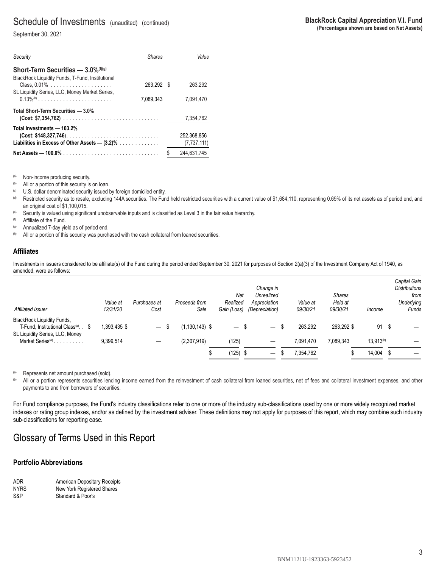## Schedule of Investments (unaudited) (continued)

September 30, 2021

| Security                                                                                                                | <b>Shares</b> | Value                        |
|-------------------------------------------------------------------------------------------------------------------------|---------------|------------------------------|
| <b>Short-Term Securities — <math>3.0\%</math></b> <sup>(f)(g)</sup><br>BlackRock Liquidity Funds, T-Fund, Institutional |               |                              |
| SL Liquidity Series, LLC, Money Market Series,                                                                          | 263.292 \$    | 263.292                      |
|                                                                                                                         | 7.089.343     | 7,091,470                    |
| Total Short-Term Securities - 3.0%                                                                                      |               | 7.354.762                    |
| Total Investments - 103.2%<br>$(Cost: $148,327,746)$<br>Liabilities in Excess of Other Assets $-$ (3.2)%                |               | 252.368.856<br>(7, 737, 111) |
|                                                                                                                         |               | \$<br>244.631.745            |

(a) Non-income producing security.<br>  $\bullet$  All or a portion of this security is on loan.

 $\mu$  U.S. dollar denominated security issued by foreign domiciled entity.

<sup>(d)</sup> Restricted security as to resale, excluding 144A securities. The Fund held restricted securities with a current value of \$1,684,110, representing 0.69% of its net assets as of period end, and an original cost of \$1,100,015.

(e) Security is valued using significant unobservable inputs and is classified as Level 3 in the fair value hierarchy.

(f) Affiliate of the Fund.

(g) Annualized 7-day yield as of period end.

(h) All or a portion of this security was purchased with the cash collateral from loaned securities.

#### **Affiliates**

Investments in issuers considered to be affiliate(s) of the Fund during the period ended September 30, 2021 for purposes of Section 2(a)(3) of the Investment Company Act of 1940, as amended, were as follows:

| Affiliated Issuer                                                                    | Value at<br>12/31/20 | Purchases at<br>Cost     | Proceeds from<br>Sale | Net<br>Realized<br>Gain (Loss) | Change in<br>Unrealized<br>Appreciation<br>(Depreciation) |   | Value at<br>09/30/21 | <b>Shares</b><br>Held at<br>09/30/21 | Income         | Capital Gain<br><b>Distributions</b><br>from<br>Underlying<br>Funds |
|--------------------------------------------------------------------------------------|----------------------|--------------------------|-----------------------|--------------------------------|-----------------------------------------------------------|---|----------------------|--------------------------------------|----------------|---------------------------------------------------------------------|
| <b>BlackRock Liquidity Funds,</b><br>T-Fund, Institutional Class <sup>(a)</sup> . \$ | .393,435 \$          | $\qquad \qquad -$        | $(1.130.143)$ \$      | $\overline{\phantom{0}}$       |                                                           | J | 263.292              | 263.292 \$                           | 91<br>- \$     |                                                                     |
| SL Liquidity Series, LLC, Money<br>Market Series <sup>(a)</sup>                      | 9,399,514            | $\overline{\phantom{0}}$ | (2,307,919)           | (125)                          | —                                                         |   | 7.091.470            | 7.089.343                            | $13.913^{(b)}$ |                                                                     |
|                                                                                      |                      |                          |                       | $(125)$ \$                     | $\overline{\phantom{0}}$                                  | ъ | 7.354.762            |                                      | 14,004 \$      |                                                                     |

(a) Represents net amount purchased (sold).

(b) All or a portion represents securities lending income earned from the reinvestment of cash collateral from loaned securities, net of fees and collateral investment expenses, and other payments to and from borrowers of securities.

For Fund compliance purposes, the Fund's industry classifications refer to one or more of the industry sub-classifications used by one or more widely recognized market indexes or rating group indexes, and/or as defined by the investment adviser. These definitions may not apply for purposes of this report, which may combine such industry sub-classifications for reporting ease.

## Glossary of Terms Used in this Report

#### **Portfolio Abbreviations**

| ADR         | <b>American Depositary Receipts</b> |
|-------------|-------------------------------------|
| <b>NYRS</b> | New York Registered Shares          |
| S&P         | Standard & Poor's                   |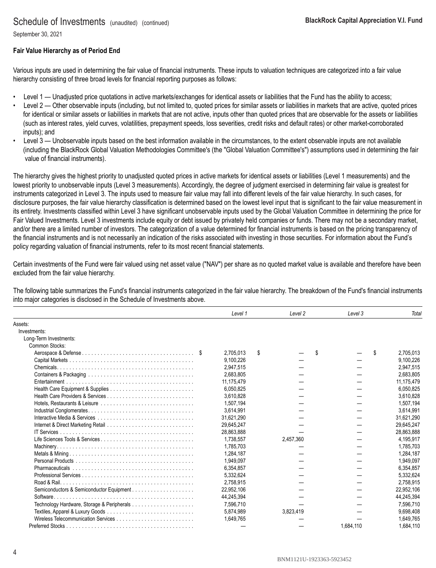September 30, 2021

### **Fair Value Hierarchy as of Period End**

Various inputs are used in determining the fair value of financial instruments. These inputs to valuation techniques are categorized into a fair value hierarchy consisting of three broad levels for financial reporting purposes as follows:

- Level 1 Unadjusted price quotations in active markets/exchanges for identical assets or liabilities that the Fund has the ability to access;
- Level 2 Other observable inputs (including, but not limited to, quoted prices for similar assets or liabilities in markets that are active, quoted prices for identical or similar assets or liabilities in markets that are not active, inputs other than quoted prices that are observable for the assets or liabilities (such as interest rates, yield curves, volatilities, prepayment speeds, loss severities, credit risks and default rates) or other market-corroborated inputs); and
- Level 3 Unobservable inputs based on the best information available in the circumstances, to the extent observable inputs are not available (including the BlackRock Global Valuation Methodologies Committee's (the "Global Valuation Committee's") assumptions used in determining the fair value of financial instruments).

The hierarchy gives the highest priority to unadjusted quoted prices in active markets for identical assets or liabilities (Level 1 measurements) and the lowest priority to unobservable inputs (Level 3 measurements). Accordingly, the degree of judgment exercised in determining fair value is greatest for instruments categorized in Level 3. The inputs used to measure fair value may fall into different levels of the fair value hierarchy. In such cases, for disclosure purposes, the fair value hierarchy classification is determined based on the lowest level input that is significant to the fair value measurement in its entirety. Investments classified within Level 3 have significant unobservable inputs used by the Global Valuation Committee in determining the price for Fair Valued Investments. Level 3 investments include equity or debt issued by privately held companies or funds. There may not be a secondary market, and/or there are a limited number of investors. The categorization of a value determined for financial instruments is based on the pricing transparency of the financial instruments and is not necessarily an indication of the risks associated with investing in those securities. For information about the Fund's policy regarding valuation of financial instruments, refer to its most recent financial statements.

Certain investments of the Fund were fair valued using net asset value ("NAV") per share as no quoted market value is available and therefore have been excluded from the fair value hierarchy.

The following table summarizes the Fund's financial instruments categorized in the fair value hierarchy. The breakdown of the Fund's financial instruments into major categories is disclosed in the Schedule of Investments above.

|                        | Level 1    | Level <sub>2</sub> | Level 3   | Total           |
|------------------------|------------|--------------------|-----------|-----------------|
| Assets:                |            |                    |           |                 |
| Investments:           |            |                    |           |                 |
| Long-Term Investments: |            |                    |           |                 |
| Common Stocks:         |            |                    |           |                 |
|                        | 2,705,013  | \$                 | \$        | \$<br>2,705,013 |
|                        | 9,100,226  |                    |           | 9,100,226       |
|                        | 2.947.515  |                    |           | 2.947.515       |
|                        | 2,683,805  |                    |           | 2.683.805       |
|                        | 11,175,479 |                    |           | 11,175,479      |
|                        | 6.050.825  |                    |           | 6.050.825       |
|                        | 3.610.828  |                    |           | 3,610,828       |
|                        | 1,507,194  |                    |           | 1,507,194       |
|                        | 3,614,991  |                    |           | 3,614,991       |
|                        | 31.621.290 |                    |           | 31,621,290      |
|                        | 29,645,247 |                    |           | 29,645,247      |
|                        | 28.863.888 |                    |           | 28.863.888      |
|                        | 1.738.557  | 2,457,360          |           | 4.195.917       |
|                        | 1,785,703  |                    |           | 1,785,703       |
|                        | 1,284,187  |                    |           | 1,284,187       |
|                        | 1,949,097  |                    |           | 1,949,097       |
|                        | 6,354,857  |                    |           | 6,354,857       |
|                        | 5,332,624  |                    |           | 5,332,624       |
|                        | 2.758.915  |                    |           | 2.758.915       |
|                        | 22,952,106 |                    |           | 22,952,106      |
| Software.              | 44.245.394 |                    |           | 44.245.394      |
|                        | 7,596,710  |                    |           | 7,596,710       |
|                        | 5,874,989  | 3,823,419          |           | 9,698,408       |
|                        | 1,649,765  |                    |           | 1,649,765       |
|                        |            |                    | 1.684.110 | 1.684.110       |